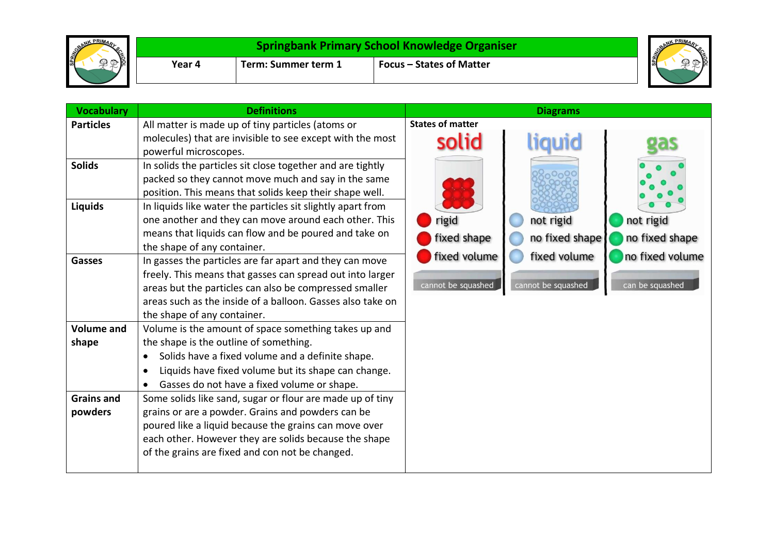| <b>SEARCH PRIMA</b> | <b>Springbank Primary School Knowledge Organiser</b> |                       |                                 |               |  |
|---------------------|------------------------------------------------------|-----------------------|---------------------------------|---------------|--|
|                     | Year 4                                               | . Term: Summer term 1 | <b>Focus – States of Matter</b> | <b>SPRING</b> |  |

| <b>Vocabulary</b> | <b>Definitions</b>                                               |                         | <b>Diagrams</b>    |                 |
|-------------------|------------------------------------------------------------------|-------------------------|--------------------|-----------------|
| <b>Particles</b>  | All matter is made up of tiny particles (atoms or                | <b>States of matter</b> |                    |                 |
|                   | molecules) that are invisible to see except with the most        | solid                   |                    |                 |
|                   | powerful microscopes.                                            |                         |                    |                 |
| <b>Solids</b>     | In solids the particles sit close together and are tightly       |                         |                    |                 |
|                   | packed so they cannot move much and say in the same              |                         |                    |                 |
|                   | position. This means that solids keep their shape well.          |                         |                    |                 |
| <b>Liquids</b>    | In liquids like water the particles sit slightly apart from      |                         |                    |                 |
|                   | one another and they can move around each other. This            | rigid                   | not rigid          | not rigid       |
|                   | means that liquids can flow and be poured and take on            | fixed shape             | no fixed shape     | no fixed shape  |
|                   | the shape of any container.                                      | fixed volume            |                    |                 |
| <b>Gasses</b>     | In gasses the particles are far apart and they can move          |                         | fixed volume       | no fixed volume |
|                   | freely. This means that gasses can spread out into larger        |                         |                    |                 |
|                   | areas but the particles can also be compressed smaller           | cannot be squashed      | cannot be squashed | can be squashed |
|                   | areas such as the inside of a balloon. Gasses also take on       |                         |                    |                 |
|                   | the shape of any container.                                      |                         |                    |                 |
| <b>Volume and</b> | Volume is the amount of space something takes up and             |                         |                    |                 |
| shape             | the shape is the outline of something.                           |                         |                    |                 |
|                   | Solids have a fixed volume and a definite shape.<br>$\bullet$    |                         |                    |                 |
|                   | Liquids have fixed volume but its shape can change.<br>$\bullet$ |                         |                    |                 |
|                   | Gasses do not have a fixed volume or shape.<br>$\bullet$         |                         |                    |                 |
| <b>Grains and</b> | Some solids like sand, sugar or flour are made up of tiny        |                         |                    |                 |
| powders           | grains or are a powder. Grains and powders can be                |                         |                    |                 |
|                   | poured like a liquid because the grains can move over            |                         |                    |                 |
|                   | each other. However they are solids because the shape            |                         |                    |                 |
|                   | of the grains are fixed and con not be changed.                  |                         |                    |                 |
|                   |                                                                  |                         |                    |                 |